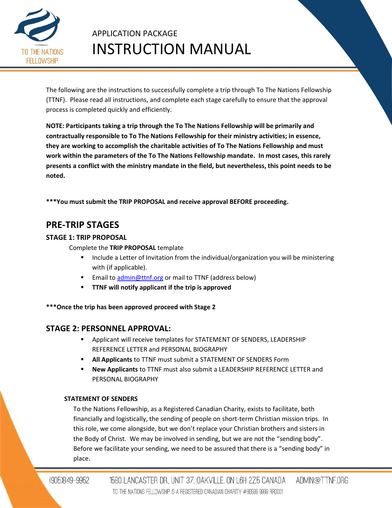

The following are the instructions to successfully complete a trip through To The Nations Fellowship (TTNF). Please read all instructions, and complete each stage carefully to ensure that the approval process is completed quickly and efficiently.

**NOTE: Participants taking a trip through the To The Nations Fellowship will be primarily and contractually responsible to To The Nations Fellowship for their ministry activities; in essence, they are working to accomplish the charitable activities of To The Nations Fellowship and must work within the parameters of the To The Nations Fellowship mandate. In most cases, this rarely presents a conflict with the ministry mandate in the field, but nevertheless, this point needs to be noted.**

**\*\*\*You must submit the TRIP PROPOSAL and receive approval BEFORE proceeding.**

## **PRE-TRIP STAGES**

## **STAGE 1: TRIP PROPOSAL**

Complete the **TRIP PROPOSAL** template

- Include a Letter of Invitation from the individual/organization you will be ministering with (if applicable).
- **Email to [admin@ttnf.org](mailto:admin@ttnf.org) or mail to TTNF (address below)**
- **TTNF will notify applicant if the trip is approved**

**\*\*\*Once the trip has been approved proceed with Stage 2**

## **STAGE 2: PERSONNEL APPROVAL:**

- Applicant will receive templates for STATEMENT OF SENDERS, LEADERSHIP REFERENCE LETTER and PERSONAL BIOGRAPHY
- **All Applicants** to TTNF must submit a STATEMENT OF SENDERS Form
- **New Applicants** to TTNF must also submit a LEADERSHIP REFERENCE LETTER and PERSONAL BIOGRAPHY

## **STATEMENT OF SENDERS**

To the Nations Fellowship, as a Registered Canadian Charity, exists to facilitate, both financially and logistically, the sending of people on short-term Christian mission trips. In this role, we come alongside, but we don't replace your Christian brothers and sisters in the Body of Christ. We may be involved in sending, but we are not the "sending body". Before we facilitate your sending, we need to be assured that there is a "sending body" in place.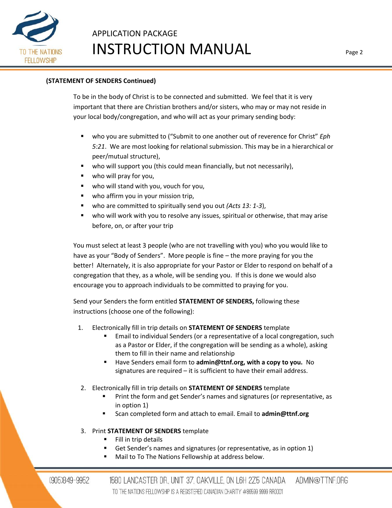

## **(STATEMENT OF SENDERS Continued)**

To be in the body of Christ is to be connected and submitted. We feel that it is very important that there are Christian brothers and/or sisters, who may or may not reside in your local body/congregation, and who will act as your primary sending body:

- who you are submitted to ("Submit to one another out of reverence for Christ" *Eph 5:21*. We are most looking for relational submission. This may be in a hierarchical or peer/mutual structure),
- who will support you (this could mean financially, but not necessarily),
- who will pray for you,
- who will stand with you, vouch for you,
- who affirm you in your mission trip,
- who are committed to spiritually send you out *(Acts 13: 1-3)*,
- who will work with you to resolve any issues, spiritual or otherwise, that may arise before, on, or after your trip

You must select at least 3 people (who are not travelling with you) who you would like to have as your "Body of Senders". More people is fine – the more praying for you the better! Alternately, it is also appropriate for your Pastor or Elder to respond on behalf of a congregation that they, as a whole, will be sending you. If this is done we would also encourage you to approach individuals to be committed to praying for you.

Send your Senders the form entitled **STATEMENT OF SENDERS,** following these instructions (choose one of the following):

- 1. Electronically fill in trip details on **STATEMENT OF SENDERS** template
	- Email to individual Senders (or a representative of a local congregation, such as a Pastor or Elder, if the congregation will be sending as a whole), asking them to fill in their name and relationship
	- Have Senders email form to **admin@ttnf.org, with a copy to you.** No signatures are required – it is sufficient to have their email address.
- 2. Electronically fill in trip details on **STATEMENT OF SENDERS** template
	- Print the form and get Sender's names and signatures (or representative, as in option 1)
	- Scan completed form and attach to email. Email to **admin@ttnf.org**

## 3. Print **STATEMENT OF SENDERS** template

- Fill in trip details
- Get Sender's names and signatures (or representative, as in option 1)
- Mail to To The Nations Fellowship at address below.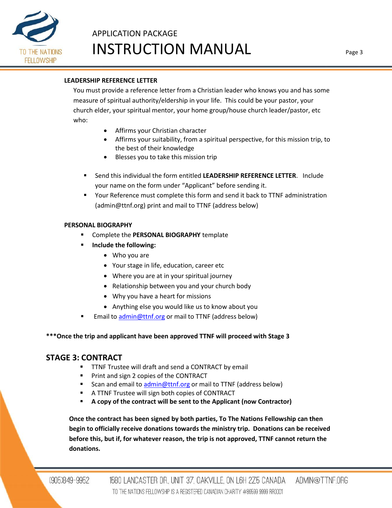

## **LEADERSHIP REFERENCE LETTER**

You must provide a reference letter from a Christian leader who knows you and has some measure of spiritual authority/eldership in your life. This could be your pastor, your church elder, your spiritual mentor, your home group/house church leader/pastor, etc who:

- Affirms your Christian character
- Affirms your suitability, from a spiritual perspective, for this mission trip, to the best of their knowledge
- Blesses you to take this mission trip
- Send this individual the form entitled **LEADERSHIP REFERENCE LETTER**. Include your name on the form under "Applicant" before sending it.
- Your Reference must complete this form and send it back to TTNF administration (admin@ttnf.org) print and mail to TTNF (address below)

### **PERSONAL BIOGRAPHY**

- **EXP** Complete the **PERSONAL BIOGRAPHY** template
- **Include the following:**
	- Who you are
	- Your stage in life, education, career etc
	- Where you are at in your spiritual journey
	- Relationship between you and your church body
	- Why you have a heart for missions
	- Anything else you would like us to know about you
- Email to [admin@ttnf.org](mailto:admin@ttnf.org) or mail to TTNF (address below)

## **\*\*\*Once the trip and applicant have been approved TTNF will proceed with Stage 3**

## **STAGE 3: CONTRACT**

- **TTNF Trustee will draft and send a CONTRACT by email**
- **Print and sign 2 copies of the CONTRACT**
- Scan and email t[o admin@ttnf.org](mailto:admin@ttnf.org) or mail to TTNF (address below)
- A TTNF Trustee will sign both copies of CONTRACT
- **A copy of the contract will be sent to the Applicant (now Contractor)**

**Once the contract has been signed by both parties, To The Nations Fellowship can then begin to officially receive donations towards the ministry trip. Donations can be received before this, but if, for whatever reason, the trip is not approved, TTNF cannot return the donations.**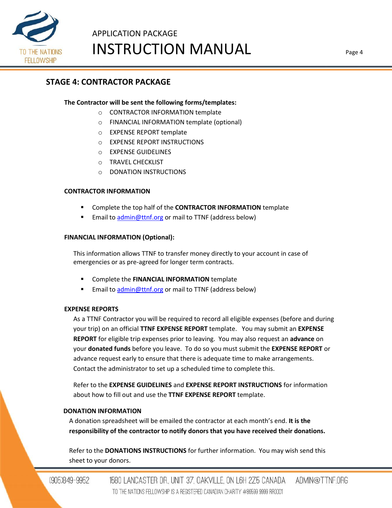

## **STAGE 4: CONTRACTOR PACKAGE**

## **The Contractor will be sent the following forms/templates:**

- o CONTRACTOR INFORMATION template
- o FINANCIAL INFORMATION template (optional)
- o EXPENSE REPORT template
- o EXPENSE REPORT INSTRUCTIONS
- o EXPENSE GUIDELINES
- o TRAVEL CHECKLIST
- o DONATION INSTRUCTIONS

## **CONTRACTOR INFORMATION**

- Complete the top half of the **CONTRACTOR INFORMATION** template
- Email to [admin@ttnf.org](mailto:admin@ttnf.org) or mail to TTNF (address below)

## **FINANCIAL INFORMATION (Optional):**

This information allows TTNF to transfer money directly to your account in case of emergencies or as pre-agreed for longer term contracts.

- Complete the **FINANCIAL INFORMATION** template
- Email to [admin@ttnf.org](mailto:admin@ttnf.org) or mail to TTNF (address below)

## **EXPENSE REPORTS**

As a TTNF Contractor you will be required to record all eligible expenses (before and during your trip) on an official **TTNF EXPENSE REPORT** template. You may submit an **EXPENSE REPORT** for eligible trip expenses prior to leaving. You may also request an **advance** on your **donated funds** before you leave. To do so you must submit the **EXPENSE REPORT** or advance request early to ensure that there is adequate time to make arrangements. Contact the administrator to set up a scheduled time to complete this.

Refer to the **EXPENSE GUIDELINES** and **EXPENSE REPORT INSTRUCTIONS** for information about how to fill out and use the **TTNF EXPENSE REPORT** template.

## **DONATION INFORMATION**

A donation spreadsheet will be emailed the contractor at each month's end. **It is the responsibility of the contractor to notify donors that you have received their donations.**

Refer to the **DONATIONS INSTRUCTIONS** for further information. You may wish send this sheet to your donors.